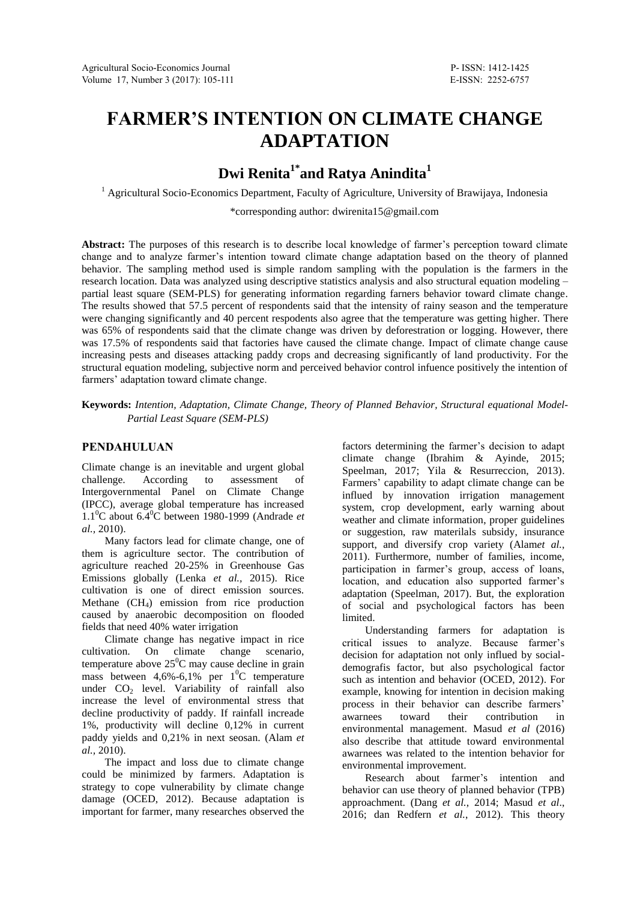# **FARMER'S INTENTION ON CLIMATE CHANGE ADAPTATION**

## **Dwi Renita1\* and Ratya Anindita<sup>1</sup>**

<sup>1</sup> Agricultural Socio-Economics Department, Faculty of Agriculture, University of Brawijaya, Indonesia

\*corresponding author: dwirenita15@gmail.com

Abstract: The purposes of this research is to describe local knowledge of farmer's perception toward climate change and to analyze farmer's intention toward climate change adaptation based on the theory of planned behavior. The sampling method used is simple random sampling with the population is the farmers in the research location. Data was analyzed using descriptive statistics analysis and also structural equation modeling – partial least square (SEM-PLS) for generating information regarding farners behavior toward climate change. The results showed that 57.5 percent of respondents said that the intensity of rainy season and the temperature were changing significantly and 40 percent respodents also agree that the temperature was getting higher. There was 65% of respondents said that the climate change was driven by deforestration or logging. However, there was 17.5% of respondents said that factories have caused the climate change. Impact of climate change cause increasing pests and diseases attacking paddy crops and decreasing significantly of land productivity. For the structural equation modeling, subjective norm and perceived behavior control infuence positively the intention of farmers' adaptation toward climate change.

**Keywords:** *Intention, Adaptation, Climate Change, Theory of Planned Behavior, Structural equational Model-Partial Least Square (SEM-PLS)*

## **PENDAHULUAN**

Climate change is an inevitable and urgent global challenge. According to assessment of Intergovernmental Panel on Climate Change (IPCC), average global temperature has increased 1.1 <sup>0</sup>C about 6.4 <sup>0</sup>C between 1980-1999 (Andrade *et al.,* 2010).

Many factors lead for climate change, one of them is agriculture sector. The contribution of agriculture reached 20-25% in Greenhouse Gas Emissions globally (Lenka *et al.,* 2015). Rice cultivation is one of direct emission sources. Methane  $(CH_4)$  emission from rice production caused by anaerobic decomposition on flooded fields that need 40% water irrigation

Climate change has negative impact in rice cultivation. On climate change scenario, temperature above  $25^{\circ}$ C may cause decline in grain mass between  $4,6\%$ -6,1% per  $1^{0}$ C temperature under  $CO<sub>2</sub>$  level. Variability of rainfall also increase the level of environmental stress that decline productivity of paddy. If rainfall increade 1%, productivity will decline 0,12% in current paddy yields and 0,21% in next seosan. (Alam *et al.,* 2010).

The impact and loss due to climate change could be minimized by farmers. Adaptation is strategy to cope vulnerability by climate change damage (OCED, 2012). Because adaptation is important for farmer, many researches observed the

factors determining the farmer's decision to adapt climate change (Ibrahim & Ayinde, 2015; Speelman, 2017; Yila & Resurreccion, 2013). Farmers' capability to adapt climate change can be influed by innovation irrigation management system, crop development, early warning about weather and climate information, proper guidelines or suggestion, raw materilals subsidy, insurance support, and diversify crop variety (Alam*et al.*, 2011). Furthermore, number of families, income, participation in farmer's group, access of loans, location, and education also supported farmer's adaptation (Speelman, 2017). But, the exploration of social and psychological factors has been limited.

Understanding farmers for adaptation is critical issues to analyze. Because farmer's decision for adaptation not only influed by socialdemografis factor, but also psychological factor such as intention and behavior (OCED, 2012). For example, knowing for intention in decision making process in their behavior can describe farmers' awarnees toward their contribution in environmental management. Masud *et al* (2016) also describe that attitude toward environmental awarnees was related to the intention behavior for environmental improvement.

Research about farmer's intention and behavior can use theory of planned behavior (TPB) approachment. (Dang *et al.*, 2014; Masud *et al*., 2016; dan Redfern *et al.*, 2012). This theory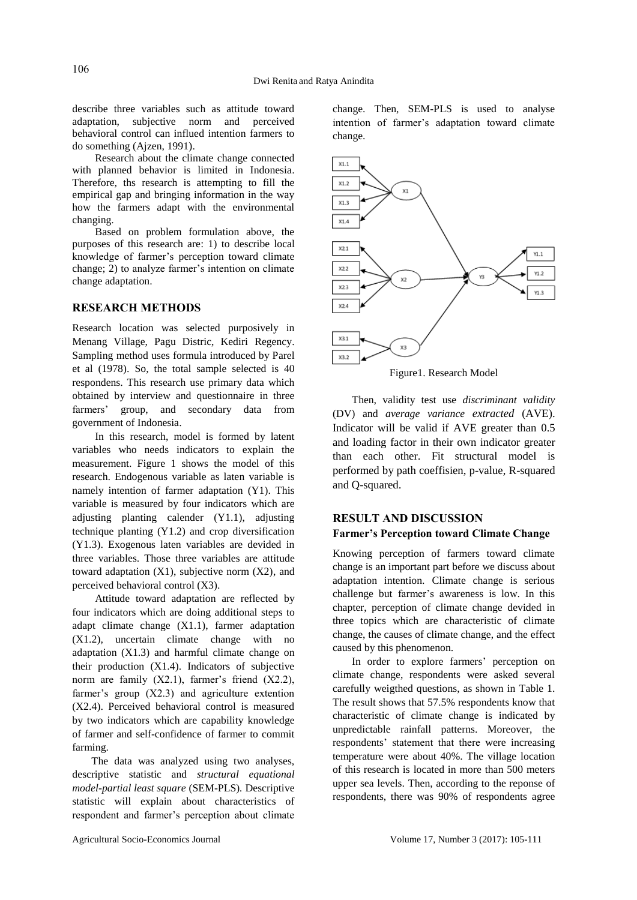describe three variables such as attitude toward adaptation, subjective norm and perceived behavioral control can influed intention farmers to do something (Ajzen, 1991).

Research about the climate change connected with planned behavior is limited in Indonesia. Therefore, ths research is attempting to fill the empirical gap and bringing information in the way how the farmers adapt with the environmental changing.

Based on problem formulation above, the purposes of this research are: 1) to describe local knowledge of farmer's perception toward climate change; 2) to analyze farmer's intention on climate change adaptation.

#### **RESEARCH METHODS**

Research location was selected purposively in Menang Village, Pagu Distric, Kediri Regency. Sampling method uses formula introduced by Parel et al (1978). So, the total sample selected is 40 respondens. This research use primary data which obtained by interview and questionnaire in three farmers' group, and secondary data from government of Indonesia.

In this research, model is formed by latent variables who needs indicators to explain the measurement. Figure 1 shows the model of this research. Endogenous variable as laten variable is namely intention of farmer adaptation (Y1). This variable is measured by four indicators which are adjusting planting calender (Y1.1), adjusting technique planting (Y1.2) and crop diversification (Y1.3). Exogenous laten variables are devided in three variables. Those three variables are attitude toward adaptation  $(X1)$ , subjective norm  $(X2)$ , and perceived behavioral control (X3).

Attitude toward adaptation are reflected by four indicators which are doing additional steps to adapt climate change (X1.1), farmer adaptation (X1.2), uncertain climate change with no adaptation (X1.3) and harmful climate change on their production (X1.4). Indicators of subjective norm are family (X2.1), farmer's friend (X2.2), farmer's group (X2.3) and agriculture extention (X2.4). Perceived behavioral control is measured by two indicators which are capability knowledge of farmer and self-confidence of farmer to commit farming.

The data was analyzed using two analyses, descriptive statistic and *structural equational model-partial least square* (SEM-PLS)*.* Descriptive statistic will explain about characteristics of respondent and farmer's perception about climate

change. Then, SEM-PLS is used to analyse intention of farmer's adaptation toward climate change.



Then, validity test use *discriminant validity*

(DV) and *average variance extracted* (AVE). Indicator will be valid if AVE greater than 0.5 and loading factor in their own indicator greater than each other. Fit structural model is performed by path coeffisien, p-value, R-squared and Q-squared.

## **RESULT AND DISCUSSION Farmer's Perception toward Climate Change**

Knowing perception of farmers toward climate change is an important part before we discuss about adaptation intention. Climate change is serious challenge but farmer's awareness is low. In this chapter, perception of climate change devided in three topics which are characteristic of climate change, the causes of climate change, and the effect caused by this phenomenon.

In order to explore farmers' perception on climate change, respondents were asked several carefully weigthed questions, as shown in Table 1. The result shows that 57.5% respondents know that characteristic of climate change is indicated by unpredictable rainfall patterns. Moreover, the respondents' statement that there were increasing temperature were about 40%. The village location of this research is located in more than 500 meters upper sea levels. Then, according to the reponse of respondents, there was 90% of respondents agree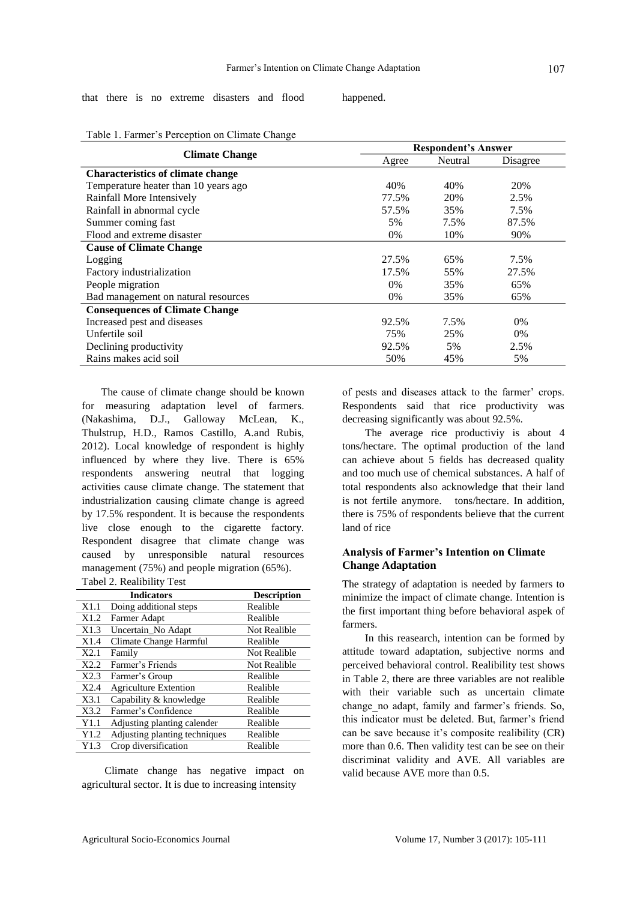that there is no extreme disasters and flood happened.

|                                          | <b>Respondent's Answer</b> |         |          |  |
|------------------------------------------|----------------------------|---------|----------|--|
| <b>Climate Change</b>                    | Agree                      | Neutral | Disagree |  |
| <b>Characteristics of climate change</b> |                            |         |          |  |
| Temperature heater than 10 years ago     | 40%                        | 40%     | 20%      |  |
| Rainfall More Intensively                | 77.5%                      | 20%     | 2.5%     |  |
| Rainfall in abnormal cycle               | 57.5%                      | 35%     | 7.5%     |  |
| Summer coming fast                       | 5%                         | 7.5%    | 87.5%    |  |
| Flood and extreme disaster               | $0\%$                      | 10%     | 90%      |  |
| <b>Cause of Climate Change</b>           |                            |         |          |  |
| Logging                                  | 27.5%                      | 65%     | 7.5%     |  |
| Factory industrialization                | 17.5%                      | 55%     | 27.5%    |  |
| People migration                         | $0\%$                      | 35%     | 65%      |  |
| Bad management on natural resources      | 0%                         | 35%     | 65%      |  |
| <b>Consequences of Climate Change</b>    |                            |         |          |  |
| Increased pest and diseases              | 92.5%                      | 7.5%    | 0%       |  |
| Unfertile soil                           | 75%                        | 25%     | $0\%$    |  |
| Declining productivity                   | 92.5%                      | 5%      | 2.5%     |  |
| Rains makes acid soil                    | 50%                        | 45%     | 5%       |  |

Table 1. Farmer's Perception on Climate Change

The cause of climate change should be known for measuring adaptation level of farmers. (Nakashima, D.J., Galloway McLean, K., Thulstrup, H.D., Ramos Castillo, A.and Rubis, 2012). Local knowledge of respondent is highly influenced by where they live. There is 65% respondents answering neutral that logging activities cause climate change. The statement that industrialization causing climate change is agreed by 17.5% respondent. It is because the respondents live close enough to the cigarette factory. Respondent disagree that climate change was caused by unresponsible natural resources management (75%) and people migration (65%). Tabel 2. Realibility Test

|      | <b>Indicators</b>             | <b>Description</b> |  |  |
|------|-------------------------------|--------------------|--|--|
| X1.1 | Doing additional steps        | Realible           |  |  |
| X1.2 | Farmer Adapt                  | Realible           |  |  |
| X1.3 | Uncertain No Adapt            | Not Realible       |  |  |
| X1.4 | Climate Change Harmful        | Realible           |  |  |
| X2.1 | Family                        | Not Realible       |  |  |
| X2.2 | Farmer's Friends              | Not Realible       |  |  |
| X2.3 | Farmer's Group                | Realible           |  |  |
| X2.4 | <b>Agriculture Extention</b>  | Realible           |  |  |
| X3.1 | Capability & knowledge        | Realible           |  |  |
| X3.2 | Farmer's Confidence           | Realible           |  |  |
| Y1.1 | Adjusting planting calender   | Realible           |  |  |
| Y1.2 | Adjusting planting techniques | Realible           |  |  |
| Y1.3 | Crop diversification          | Realible           |  |  |

Climate change has negative impact on agricultural sector. It is due to increasing intensity

of pests and diseases attack to the farmer' crops. Respondents said that rice productivity was decreasing significantly was about 92.5%.

The average rice productiviy is about 4 tons/hectare. The optimal production of the land can achieve about 5 fields has decreased quality and too much use of chemical substances. A half of total respondents also acknowledge that their land is not fertile anymore. tons/hectare. In addition, there is 75% of respondents believe that the current land of rice

## **Analysis of Farmer's Intention on Climate Change Adaptation**

The strategy of adaptation is needed by farmers to minimize the impact of climate change. Intention is the first important thing before behavioral aspek of farmers.

In this reasearch, intention can be formed by attitude toward adaptation, subjective norms and perceived behavioral control. Realibility test shows in Table 2, there are three variables are not realible with their variable such as uncertain climate change\_no adapt, family and farmer's friends. So, this indicator must be deleted. But, farmer's friend can be save because it's composite realibility (CR) more than 0.6. Then validity test can be see on their discriminat validity and AVE. All variables are valid because AVE more than 0.5.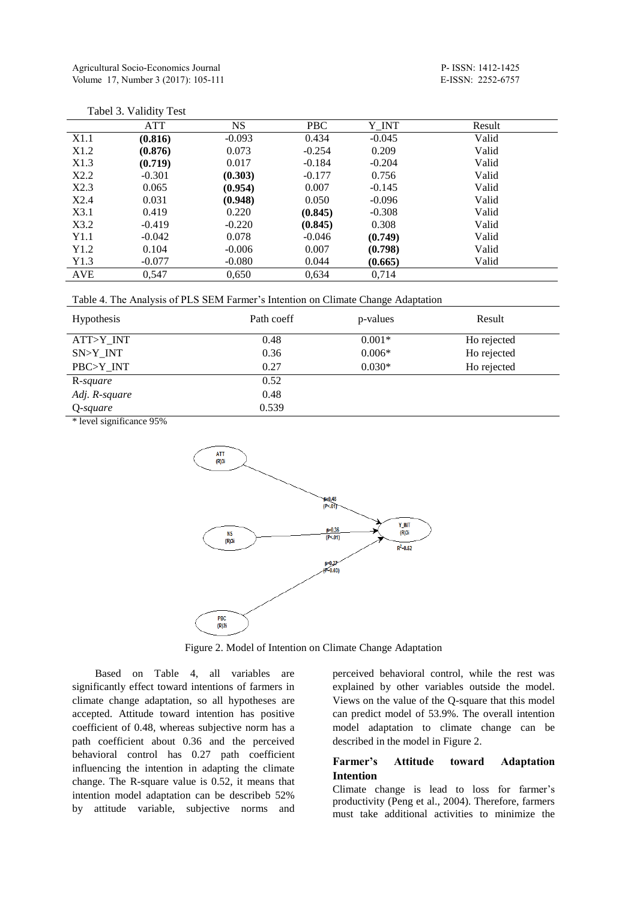Tabel 3. Validity Test

|      | <b>ATT</b> | <b>NS</b> | <b>PBC</b> | Y_INT    | Result |
|------|------------|-----------|------------|----------|--------|
| X1.1 | (0.816)    | $-0.093$  | 0.434      | $-0.045$ | Valid  |
| X1.2 | (0.876)    | 0.073     | $-0.254$   | 0.209    | Valid  |
| X1.3 | (0.719)    | 0.017     | $-0.184$   | $-0.204$ | Valid  |
| X2.2 | $-0.301$   | (0.303)   | $-0.177$   | 0.756    | Valid  |
| X2.3 | 0.065      | (0.954)   | 0.007      | $-0.145$ | Valid  |
| X2.4 | 0.031      | (0.948)   | 0.050      | $-0.096$ | Valid  |
| X3.1 | 0.419      | 0.220     | (0.845)    | $-0.308$ | Valid  |
| X3.2 | $-0.419$   | $-0.220$  | (0.845)    | 0.308    | Valid  |
| Y1.1 | $-0.042$   | 0.078     | $-0.046$   | (0.749)  | Valid  |
| Y1.2 | 0.104      | $-0.006$  | 0.007      | (0.798)  | Valid  |
| Y1.3 | $-0.077$   | $-0.080$  | 0.044      | (0.665)  | Valid  |
| AVE  | 0,547      | 0,650     | 0,634      | 0,714    |        |

| Hypothesis    | Path coeff | p-values | Result      |
|---------------|------------|----------|-------------|
| ATT>Y_INT     | 0.48       | $0.001*$ | Ho rejected |
| SN>Y_INT      | 0.36       | $0.006*$ | Ho rejected |
| PBC>Y_INT     | 0.27       | $0.030*$ | Ho rejected |
| R-square      | 0.52       |          |             |
| Adj. R-square | 0.48       |          |             |
| Q-square      | 0.539      |          |             |

\* level significance 95%



Figure 2. Model of Intention on Climate Change Adaptation

Based on Table 4, all variables are significantly effect toward intentions of farmers in climate change adaptation, so all hypotheses are accepted. Attitude toward intention has positive coefficient of 0.48, whereas subjective norm has a path coefficient about 0.36 and the perceived behavioral control has 0.27 path coefficient influencing the intention in adapting the climate change. The R-square value is 0.52, it means that intention model adaptation can be describeb 52% by attitude variable, subjective norms and perceived behavioral control, while the rest was explained by other variables outside the model. Views on the value of the Q-square that this model can predict model of 53.9%. The overall intention model adaptation to climate change can be described in the model in Figure 2.

## **Farmer's Attitude toward Adaptation Intention**

Climate change is lead to loss for farmer's productivity (Peng et al., 2004). Therefore, farmers must take additional activities to minimize the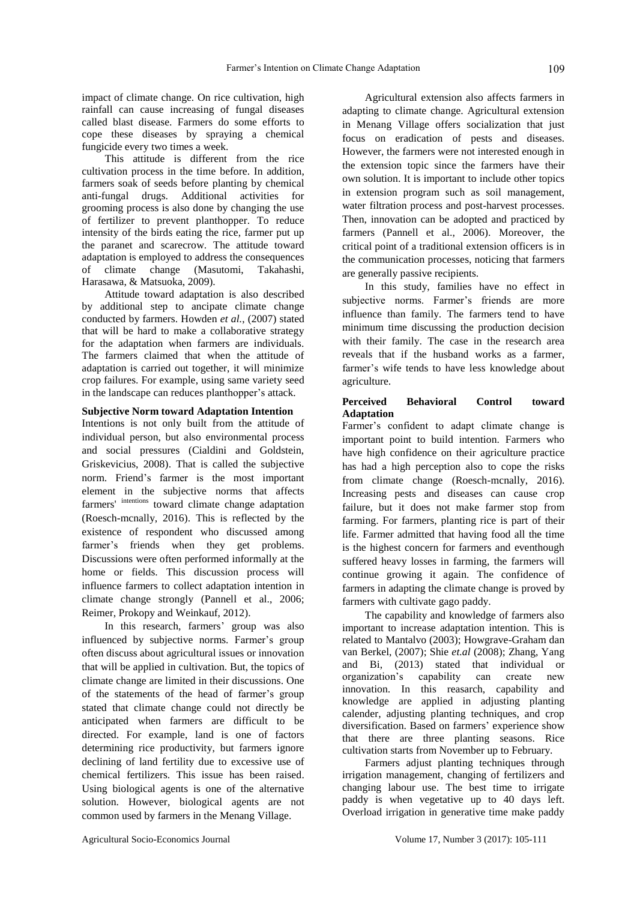impact of climate change. On rice cultivation, high rainfall can cause increasing of fungal diseases called blast disease. Farmers do some efforts to cope these diseases by spraying a chemical fungicide every two times a week.

This attitude is different from the rice cultivation process in the time before. In addition, farmers soak of seeds before planting by chemical anti-fungal drugs. Additional activities for grooming process is also done by changing the use of fertilizer to prevent planthopper. To reduce intensity of the birds eating the rice, farmer put up the paranet and scarecrow. The attitude toward adaptation is employed to address the consequences of climate change (Masutomi, Takahashi, Harasawa, & Matsuoka, 2009).

Attitude toward adaptation is also described by additional step to ancipate climate change conducted by farmers. Howden *et al.*, (2007) stated that will be hard to make a collaborative strategy for the adaptation when farmers are individuals. The farmers claimed that when the attitude of adaptation is carried out together, it will minimize crop failures. For example, using same variety seed in the landscape can reduces planthopper's attack.

#### **Subjective Norm toward Adaptation Intention**

Intentions is not only built from the attitude of individual person, but also environmental process and social pressures (Cialdini and Goldstein, Griskevicius, 2008). That is called the subjective norm. Friend's farmer is the most important element in the subjective norms that affects farmers' intentions toward climate change adaptation (Roesch-mcnally, 2016). This is reflected by the existence of respondent who discussed among farmer's friends when they get problems. Discussions were often performed informally at the home or fields. This discussion process will influence farmers to collect adaptation intention in climate change strongly (Pannell et al., 2006; Reimer, Prokopy and Weinkauf, 2012).

In this research, farmers' group was also influenced by subjective norms. Farmer's group often discuss about agricultural issues or innovation that will be applied in cultivation. But, the topics of climate change are limited in their discussions. One of the statements of the head of farmer's group stated that climate change could not directly be anticipated when farmers are difficult to be directed. For example, land is one of factors determining rice productivity, but farmers ignore declining of land fertility due to excessive use of chemical fertilizers. This issue has been raised. Using biological agents is one of the alternative solution. However, biological agents are not common used by farmers in the Menang Village.

Agricultural extension also affects farmers in adapting to climate change. Agricultural extension in Menang Village offers socialization that just focus on eradication of pests and diseases. However, the farmers were not interested enough in the extension topic since the farmers have their own solution. It is important to include other topics in extension program such as soil management, water filtration process and post-harvest processes. Then, innovation can be adopted and practiced by farmers (Pannell et al., 2006). Moreover, the critical point of a traditional extension officers is in the communication processes, noticing that farmers are generally passive recipients.

In this study, families have no effect in subjective norms. Farmer's friends are more influence than family. The farmers tend to have minimum time discussing the production decision with their family. The case in the research area reveals that if the husband works as a farmer, farmer's wife tends to have less knowledge about agriculture.

## **Perceived Behavioral Control toward Adaptation**

Farmer's confident to adapt climate change is important point to build intention. Farmers who have high confidence on their agriculture practice has had a high perception also to cope the risks from climate change (Roesch-mcnally, 2016). Increasing pests and diseases can cause crop failure, but it does not make farmer stop from farming. For farmers, planting rice is part of their life. Farmer admitted that having food all the time is the highest concern for farmers and eventhough suffered heavy losses in farming, the farmers will continue growing it again. The confidence of farmers in adapting the climate change is proved by farmers with cultivate gago paddy.

The capability and knowledge of farmers also important to increase adaptation intention. This is related to Mantalvo (2003); Howgrave-Graham dan van Berkel, (2007); Shie *et.al* (2008); Zhang, Yang and Bi, (2013) stated that individual or organization's capability can create new innovation. In this reasarch, capability and knowledge are applied in adjusting planting calender, adjusting planting techniques, and crop diversification. Based on farmers' experience show that there are three planting seasons. Rice cultivation starts from November up to February.

Farmers adjust planting techniques through irrigation management, changing of fertilizers and changing labour use. The best time to irrigate paddy is when vegetative up to 40 days left. Overload irrigation in generative time make paddy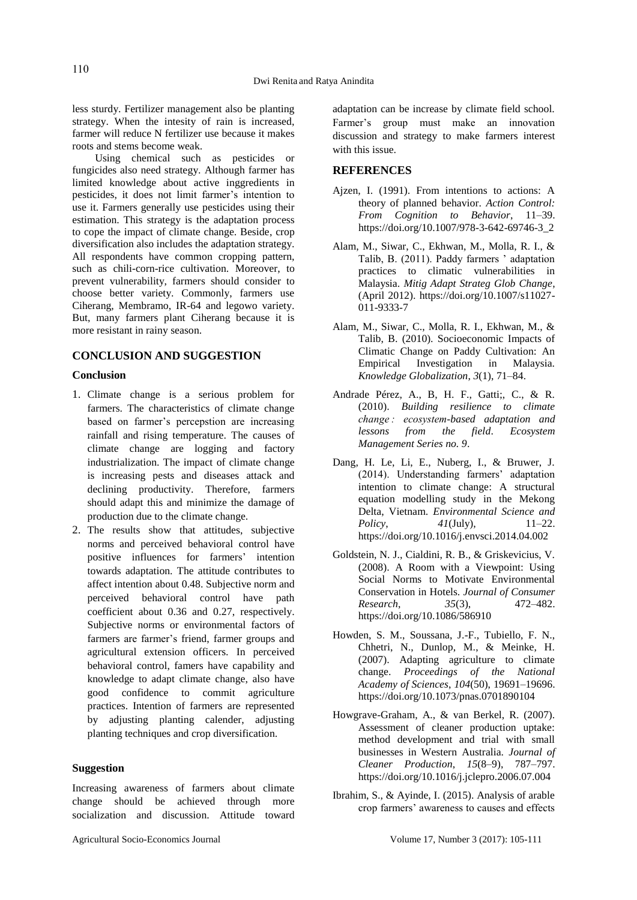less sturdy. Fertilizer management also be planting strategy. When the intesity of rain is increased, farmer will reduce N fertilizer use because it makes roots and stems become weak.

Using chemical such as pesticides or fungicides also need strategy. Although farmer has limited knowledge about active inggredients in pesticides, it does not limit farmer's intention to use it. Farmers generally use pesticides using their estimation. This strategy is the adaptation process to cope the impact of climate change. Beside, crop diversification also includes the adaptation strategy. All respondents have common cropping pattern, such as chili-corn-rice cultivation. Moreover, to prevent vulnerability, farmers should consider to choose better variety. Commonly, farmers use Ciherang, Membramo, IR-64 and legowo variety. But, many farmers plant Ciherang because it is more resistant in rainy season.

## **CONCLUSION AND SUGGESTION**

## **Conclusion**

- 1. Climate change is a serious problem for farmers. The characteristics of climate change based on farmer's percepstion are increasing rainfall and rising temperature. The causes of climate change are logging and factory industrialization. The impact of climate change is increasing pests and diseases attack and declining productivity. Therefore, farmers should adapt this and minimize the damage of production due to the climate change.
- 2. The results show that attitudes, subjective norms and perceived behavioral control have positive influences for farmers' intention towards adaptation. The attitude contributes to affect intention about 0.48. Subjective norm and perceived behavioral control have path coefficient about 0.36 and 0.27, respectively. Subjective norms or environmental factors of farmers are farmer's friend, farmer groups and agricultural extension officers. In perceived behavioral control, famers have capability and knowledge to adapt climate change, also have good confidence to commit agriculture practices. Intention of farmers are represented by adjusting planting calender, adjusting planting techniques and crop diversification.

## **Suggestion**

Increasing awareness of farmers about climate change should be achieved through more socialization and discussion. Attitude toward adaptation can be increase by climate field school. Farmer's group must make an innovation discussion and strategy to make farmers interest with this issue.

#### **REFERENCES**

- Ajzen, I. (1991). From intentions to actions: A theory of planned behavior. *Action Control: From Cognition to Behavior*, 11–39. https://doi.org/10.1007/978-3-642-69746-3\_2
- Alam, M., Siwar, C., Ekhwan, M., Molla, R. I., & Talib, B. (2011). Paddy farmers ' adaptation practices to climatic vulnerabilities in Malaysia. *Mitig Adapt Strateg Glob Change*, (April 2012). https://doi.org/10.1007/s11027- 011-9333-7
- Alam, M., Siwar, C., Molla, R. I., Ekhwan, M., & Talib, B. (2010). Socioeconomic Impacts of Climatic Change on Paddy Cultivation: An Empirical Investigation in Malaysia. *Knowledge Globalization*, *3*(1), 71–84.
- Andrade Pérez, A., B, H. F., Gatti;, C., & R. (2010). *Building resilience to climate change : ecosystem-based adaptation and lessons from the field*. *Ecosystem Management Series no. 9*.
- Dang, H. Le, Li, E., Nuberg, I., & Bruwer, J. (2014). Understanding farmers' adaptation intention to climate change: A structural equation modelling study in the Mekong Delta, Vietnam. *Environmental Science and Policy*, *41*(July), 11–22. https://doi.org/10.1016/j.envsci.2014.04.002
- Goldstein, N. J., Cialdini, R. B., & Griskevicius, V. (2008). A Room with a Viewpoint: Using Social Norms to Motivate Environmental Conservation in Hotels. *Journal of Consumer Research*, *35*(3), 472–482. https://doi.org/10.1086/586910
- Howden, S. M., Soussana, J.-F., Tubiello, F. N., Chhetri, N., Dunlop, M., & Meinke, H. (2007). Adapting agriculture to climate change. *Proceedings of the National Academy of Sciences*, *104*(50), 19691–19696. https://doi.org/10.1073/pnas.0701890104
- Howgrave-Graham, A., & van Berkel, R. (2007). Assessment of cleaner production uptake: method development and trial with small businesses in Western Australia. *Journal of Cleaner Production*, *15*(8–9), 787–797. https://doi.org/10.1016/j.jclepro.2006.07.004
- Ibrahim, S., & Ayinde, I. (2015). Analysis of arable crop farmers' awareness to causes and effects